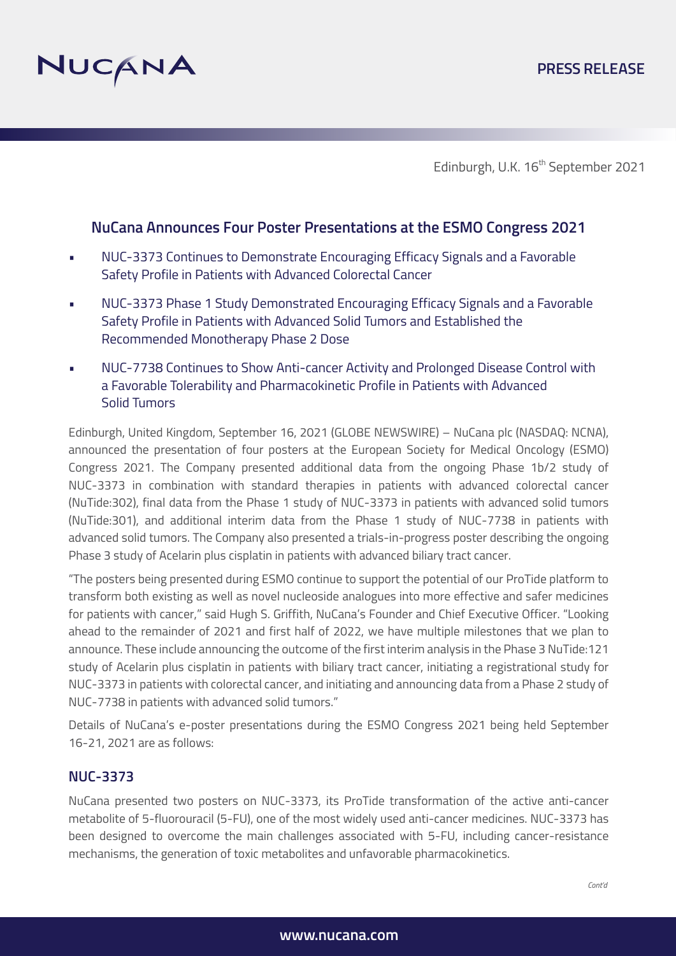

Edinburgh, U.K. 16<sup>th</sup> September 2021

# **NuCana Announces Four Poster Presentations at the ESMO Congress 2021**

- NUC-3373 Continues to Demonstrate Encouraging Efficacy Signals and a Favorable Safety Profile in Patients with Advanced Colorectal Cancer
- NUC-3373 Phase 1 Study Demonstrated Encouraging Efficacy Signals and a Favorable Safety Profile in Patients with Advanced Solid Tumors and Established the Recommended Monotherapy Phase 2 Dose
- NUC-7738 Continues to Show Anti-cancer Activity and Prolonged Disease Control with a Favorable Tolerability and Pharmacokinetic Profile in Patients with Advanced Solid Tumors

Edinburgh, United Kingdom, September 16, 2021 (GLOBE NEWSWIRE) – NuCana plc (NASDAQ: NCNA), announced the presentation of four posters at the European Society for Medical Oncology (ESMO) Congress 2021. The Company presented additional data from the ongoing Phase 1b/2 study of NUC-3373 in combination with standard therapies in patients with advanced colorectal cancer (NuTide:302), final data from the Phase 1 study of NUC-3373 in patients with advanced solid tumors (NuTide:301), and additional interim data from the Phase 1 study of NUC-7738 in patients with advanced solid tumors. The Company also presented a trials-in-progress poster describing the ongoing Phase 3 study of Acelarin plus cisplatin in patients with advanced biliary tract cancer.

"The posters being presented during ESMO continue to support the potential of our ProTide platform to transform both existing as well as novel nucleoside analogues into more effective and safer medicines for patients with cancer," said Hugh S. Griffith, NuCana's Founder and Chief Executive Officer. "Looking ahead to the remainder of 2021 and first half of 2022, we have multiple milestones that we plan to announce. These include announcing the outcome of the first interim analysis in the Phase 3 NuTide:121 study of Acelarin plus cisplatin in patients with biliary tract cancer, initiating a registrational study for NUC-3373 in patients with colorectal cancer, and initiating and announcing data from a Phase 2 study of NUC-7738 in patients with advanced solid tumors."

Details of NuCana's e-poster presentations during the ESMO Congress 2021 being held September 16-21, 2021 are as follows:

## **NUC-3373**

NuCana presented two posters on NUC-3373, its ProTide transformation of the active anti-cancer metabolite of 5-fluorouracil (5-FU), one of the most widely used anti-cancer medicines. NUC-3373 has been designed to overcome the main challenges associated with 5-FU, including cancer-resistance mechanisms, the generation of toxic metabolites and unfavorable pharmacokinetics.

*Cont'd*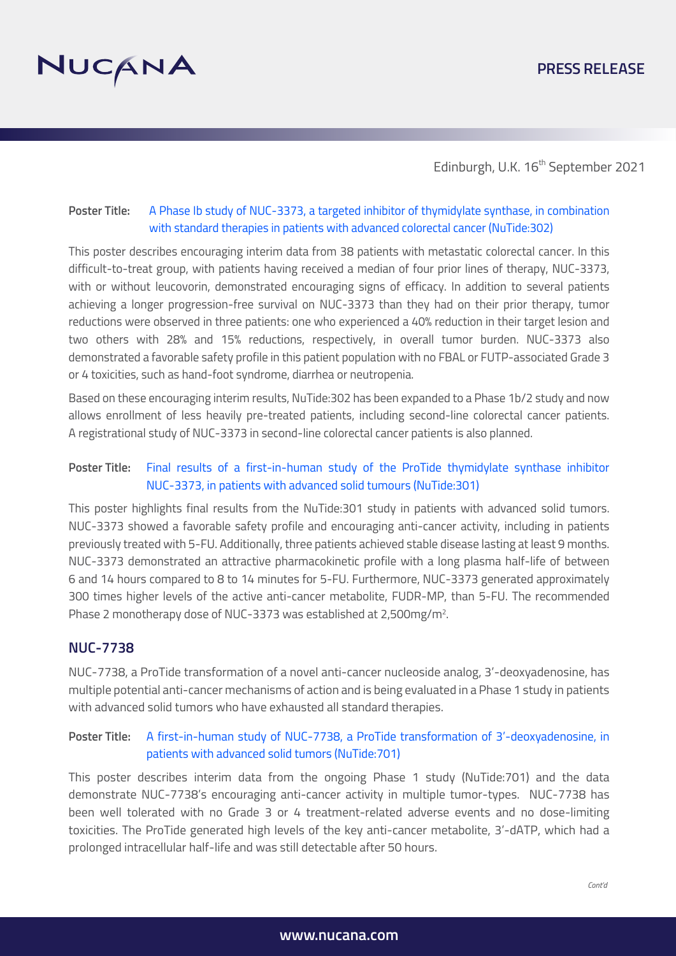

Edinburgh, U.K. 16<sup>th</sup> September 2021

### **Poster Title:** A Phase Ib study of NUC-3373, a targeted inhibitor of thymidylate synthase, in combination  [with standard therapies in patients with advanced colorectal cancer \(NuTide:302\)](http://www.nucana.com/downloads/ESMO2021NuTide302Poster.pdf)

This poster describes encouraging interim data from 38 patients with metastatic colorectal cancer. In this difficult-to-treat group, with patients having received a median of four prior lines of therapy, NUC-3373, with or without leucovorin, demonstrated encouraging signs of efficacy. In addition to several patients achieving a longer progression-free survival on NUC-3373 than they had on their prior therapy, tumor reductions were observed in three patients: one who experienced a 40% reduction in their target lesion and two others with 28% and 15% reductions, respectively, in overall tumor burden. NUC-3373 also demonstrated a favorable safety profile in this patient population with no FBAL or FUTP-associated Grade 3 or 4 toxicities, such as hand-foot syndrome, diarrhea or neutropenia.

Based on these encouraging interim results, NuTide:302 has been expanded to a Phase 1b/2 study and now allows enrollment of less heavily pre-treated patients, including second-line colorectal cancer patients. A registrational study of NUC-3373 in second-line colorectal cancer patients is also planned.

### **Poster Title:** [Final results of a first-in-human study of the ProTide thymidylate synthase inhibitor](http://www.nucana.com/downloads/ESMO2021NuTide301Poster.pdf) NUC-3373, in patients with advanced solid tumours (NuTide:301)

This poster highlights final results from the NuTide:301 study in patients with advanced solid tumors. NUC-3373 showed a favorable safety profile and encouraging anti-cancer activity, including in patients previously treated with 5-FU. Additionally, three patients achieved stable disease lasting at least 9 months. NUC-3373 demonstrated an attractive pharmacokinetic profile with a long plasma half-life of between 6 and 14 hours compared to 8 to 14 minutes for 5-FU. Furthermore, NUC-3373 generated approximately 300 times higher levels of the active anti-cancer metabolite, FUDR-MP, than 5-FU. The recommended Phase 2 monotherapy dose of NUC-3373 was established at 2,500mg/m<sup>2</sup>.

### **NUC-7738**

NUC-7738, a ProTide transformation of a novel anti-cancer nucleoside analog, 3'-deoxyadenosine, has multiple potential anti-cancer mechanisms of action and is being evaluated in a Phase 1 study in patients with advanced solid tumors who have exhausted all standard therapies.

### **Poster Title:** [A first-in-human study of NUC-7738, a ProTide transformation of 3'-deoxyadenosine, in](http://www.nucana.com/downloads/ESMO2021NuTide701Poster.pdf) patients with advanced solid tumors (NuTide:701)

This poster describes interim data from the ongoing Phase 1 study (NuTide:701) and the data demonstrate NUC-7738's encouraging anti-cancer activity in multiple tumor-types. NUC-7738 has been well tolerated with no Grade 3 or 4 treatment-related adverse events and no dose-limiting toxicities. The ProTide generated high levels of the key anti-cancer metabolite, 3'-dATP, which had a prolonged intracellular half-life and was still detectable after 50 hours.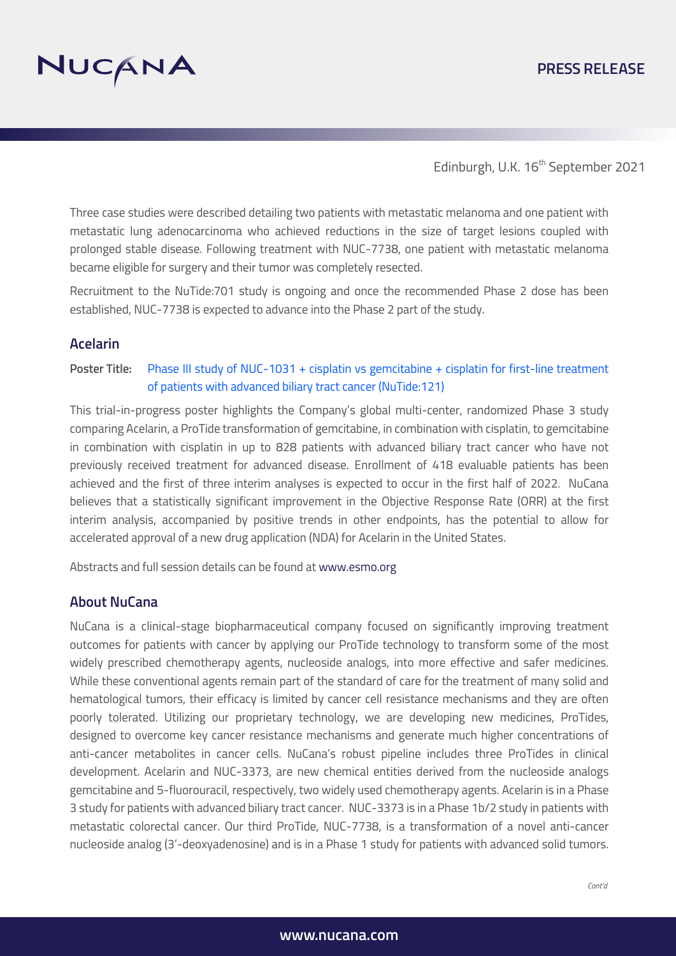

## **PRESS RELEASE**

Edinburgh, U.K. 16<sup>th</sup> September 2021

Three case studies were described detailing two patients with metastatic melanoma and one patient with metastatic lung adenocarcinoma who achieved reductions in the size of target lesions coupled with prolonged stable disease. Following treatment with NUC-7738, one patient with metastatic melanoma became eligible for surgery and their tumor was completely resected.

Recruitment to the NuTide:701 study is ongoing and once the recommended Phase 2 dose has been established, NUC-7738 is expected to advance into the Phase 2 part of the study.

#### **Acelarin**

Poster Title: [Phase III study of NUC-1031 + cisplatin vs gemcitabine + cisplatin for first-line treatment](http://www.nucana.com/downloads/ESMO2021NuTide121Poster.pdf) of patients with advanced biliary tract cancer (NuTide:121)

This trial-in-progress poster highlights the Company's global multi-center, randomized Phase 3 study comparing Acelarin, a ProTide transformation of gemcitabine, in combination with cisplatin, to gemcitabine in combination with cisplatin in up to 828 patients with advanced biliary tract cancer who have not previously received treatment for advanced disease. Enrollment of 418 evaluable patients has been achieved and the first of three interim analyses is expected to occur in the first half of 2022. NuCana believes that a statistically significant improvement in the Objective Response Rate (ORR) at the first interim analysis, accompanied by positive trends in other endpoints, has the potential to allow for accelerated approval of a new drug application (NDA) for Acelarin in the United States.

Abstracts and full session details can be found at www.esmo.org

#### **About NuCana**

NuCana is a clinical-stage biopharmaceutical company focused on significantly improving treatment outcomes for patients with cancer by applying our ProTide technology to transform some of the most widely prescribed chemotherapy agents, nucleoside analogs, into more effective and safer medicines. While these conventional agents remain part of the standard of care for the treatment of many solid and hematological tumors, their efficacy is limited by cancer cell resistance mechanisms and they are often poorly tolerated. Utilizing our proprietary technology, we are developing new medicines, ProTides, designed to overcome key cancer resistance mechanisms and generate much higher concentrations of anti-cancer metabolites in cancer cells. NuCana's robust pipeline includes three ProTides in clinical development. Acelarin and NUC-3373, are new chemical entities derived from the nucleoside analogs gemcitabine and 5-fluorouracil, respectively, two widely used chemotherapy agents. Acelarin is in a Phase 3 study for patients with advanced biliary tract cancer. NUC-3373 is in a Phase 1b/2 study in patients with metastatic colorectal cancer. Our third ProTide, NUC-7738, is a transformation of a novel anti-cancer nucleoside analog (3'-deoxyadenosine) and is in a Phase 1 study for patients with advanced solid tumors.